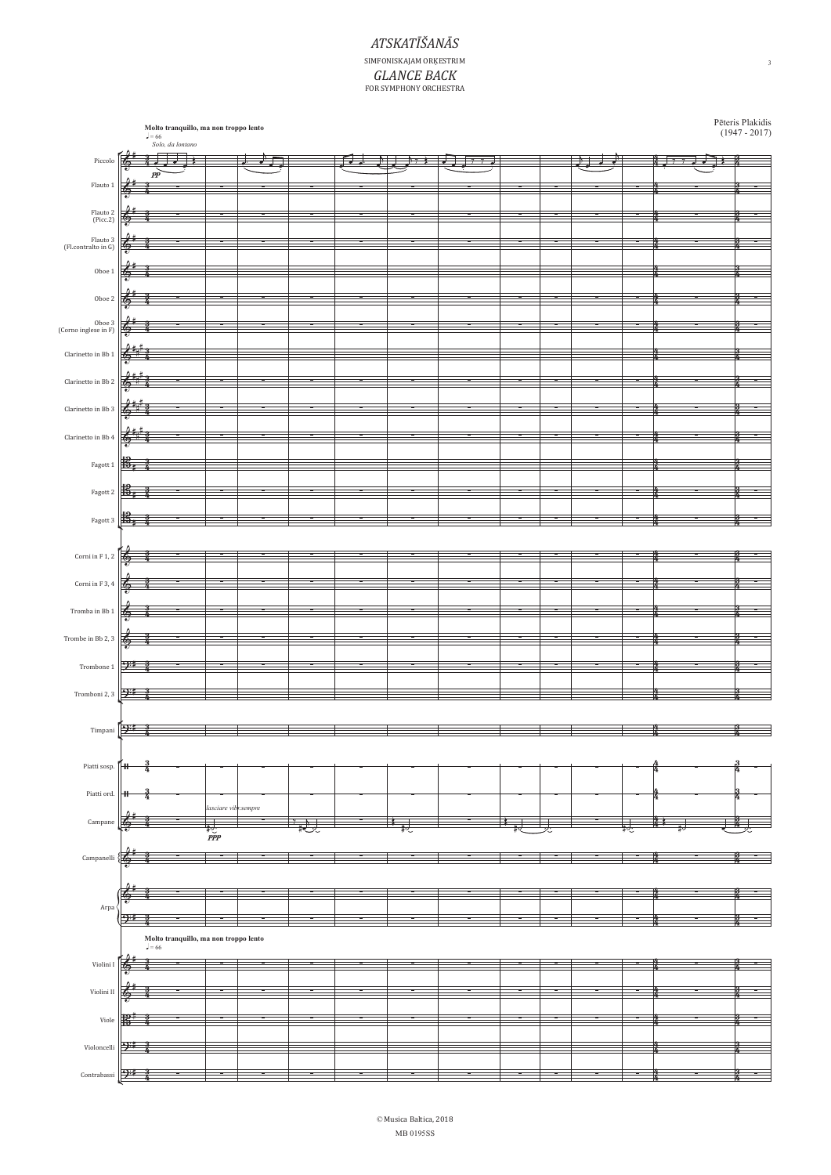## *ATSKATEŠAN#S* SIMFONISKAJAM ORĶESTRIM *GLANCE BACK*<br>FOR SYMPHONY ORCHESTRA

|                                                                          |                                       |       | <b>Molto tranquillo, ma non troppo lento</b><br>$J = 66$<br><i>Solo, da lontano</i> |                      |   |   |   |  |  |   |   |  |   |   | Pēteris Plakidis<br>(1947 - 2017) |
|--------------------------------------------------------------------------|---------------------------------------|-------|-------------------------------------------------------------------------------------|----------------------|---|---|---|--|--|---|---|--|---|---|-----------------------------------|
|                                                                          |                                       |       |                                                                                     |                      |   |   |   |  |  |   |   |  |   |   |                                   |
| Piccolo                                                                  |                                       |       | ⋥                                                                                   |                      |   |   |   |  |  |   |   |  |   | Ŧ | в                                 |
|                                                                          |                                       | pp    |                                                                                     |                      |   |   |   |  |  |   |   |  |   |   |                                   |
| Flauto 1                                                                 |                                       |       |                                                                                     |                      |   |   |   |  |  |   |   |  |   |   |                                   |
|                                                                          |                                       |       |                                                                                     |                      |   |   |   |  |  |   |   |  |   |   |                                   |
|                                                                          |                                       |       |                                                                                     |                      |   |   |   |  |  |   |   |  |   |   |                                   |
| Flauto 2<br>(Picc.2)                                                     |                                       |       |                                                                                     |                      |   |   |   |  |  |   |   |  |   |   |                                   |
|                                                                          |                                       |       |                                                                                     |                      |   |   |   |  |  |   |   |  |   |   |                                   |
|                                                                          |                                       |       |                                                                                     |                      |   |   |   |  |  |   |   |  |   |   |                                   |
| $\begin{array}{c} \rm{Flauto~3}\\ \rm{(Fl. contralto~in~G)} \end{array}$ |                                       |       |                                                                                     |                      |   |   |   |  |  |   |   |  |   |   |                                   |
|                                                                          |                                       |       |                                                                                     |                      |   |   |   |  |  |   |   |  |   |   |                                   |
| Oboe $1\,$                                                               |                                       |       |                                                                                     |                      |   |   |   |  |  |   |   |  |   |   |                                   |
|                                                                          |                                       |       |                                                                                     |                      |   |   |   |  |  |   |   |  |   |   |                                   |
|                                                                          |                                       |       |                                                                                     |                      |   |   |   |  |  |   |   |  |   |   |                                   |
| $\mbox{Oboe}~2$                                                          | c                                     |       |                                                                                     |                      |   |   |   |  |  |   |   |  |   |   |                                   |
|                                                                          |                                       |       |                                                                                     |                      |   |   |   |  |  |   |   |  |   |   |                                   |
| Oboe 3<br>(Corno inglese in F)                                           | œ                                     |       |                                                                                     | ÷                    | ÷ | Ξ | ÷ |  |  | ÷ | ÷ |  | × |   | ÷                                 |
|                                                                          |                                       |       |                                                                                     |                      |   |   |   |  |  |   |   |  |   |   |                                   |
|                                                                          |                                       |       |                                                                                     |                      |   |   |   |  |  |   |   |  |   |   |                                   |
| Clarinetto in Bb $1\,$                                                   |                                       |       |                                                                                     |                      |   |   |   |  |  |   |   |  |   |   |                                   |
|                                                                          |                                       |       |                                                                                     |                      |   |   |   |  |  |   |   |  |   |   |                                   |
| Clarinetto in Bb $2\,$                                                   | 6                                     |       |                                                                                     |                      |   |   |   |  |  |   |   |  |   |   |                                   |
|                                                                          |                                       |       |                                                                                     |                      |   |   |   |  |  |   |   |  |   |   |                                   |
|                                                                          |                                       |       |                                                                                     | ÷                    |   | ÷ | ≖ |  |  | ÷ |   |  | ╼ |   | ÷                                 |
| Clarinetto in Bb $3\,$                                                   | œ                                     |       |                                                                                     |                      |   |   |   |  |  |   |   |  |   |   |                                   |
|                                                                          |                                       |       |                                                                                     |                      |   |   |   |  |  |   |   |  |   |   |                                   |
| Clarinetto in Bb 4                                                       |                                       |       |                                                                                     |                      |   |   |   |  |  |   |   |  |   |   |                                   |
|                                                                          |                                       |       |                                                                                     |                      |   |   |   |  |  |   |   |  |   |   |                                   |
| Fagott 1                                                                 | њ.                                    |       |                                                                                     |                      |   |   |   |  |  |   |   |  |   |   |                                   |
|                                                                          |                                       |       |                                                                                     |                      |   |   |   |  |  |   |   |  |   |   |                                   |
|                                                                          |                                       |       |                                                                                     |                      |   |   |   |  |  |   |   |  |   |   |                                   |
| Fagott 2                                                                 | 嶱                                     |       |                                                                                     |                      |   |   |   |  |  |   |   |  |   |   |                                   |
|                                                                          |                                       |       |                                                                                     |                      |   |   |   |  |  |   |   |  |   |   |                                   |
| Fagott 3                                                                 |                                       |       |                                                                                     |                      |   |   |   |  |  |   |   |  |   |   |                                   |
|                                                                          | њ,                                    |       |                                                                                     |                      |   |   |   |  |  |   |   |  |   |   |                                   |
|                                                                          |                                       |       |                                                                                     |                      |   |   |   |  |  |   |   |  |   |   |                                   |
|                                                                          |                                       |       |                                                                                     |                      |   |   |   |  |  |   |   |  |   |   |                                   |
| Corni in F $1,\,2$                                                       | る                                     |       |                                                                                     |                      |   |   |   |  |  |   |   |  |   |   |                                   |
|                                                                          |                                       |       |                                                                                     |                      |   |   |   |  |  |   |   |  |   |   |                                   |
| Corni in F $3,\,4$                                                       | f.                                    |       |                                                                                     |                      |   |   |   |  |  |   |   |  |   |   |                                   |
|                                                                          |                                       |       |                                                                                     |                      |   |   |   |  |  |   |   |  |   |   |                                   |
|                                                                          |                                       |       |                                                                                     |                      |   |   |   |  |  |   |   |  |   |   |                                   |
| Tromba in Bb 1                                                           | t.                                    |       |                                                                                     |                      |   |   |   |  |  |   |   |  |   |   |                                   |
|                                                                          |                                       |       |                                                                                     |                      |   |   |   |  |  |   |   |  |   |   |                                   |
| Trombe in Bb 2, $3\,$                                                    | €                                     |       |                                                                                     |                      |   |   |   |  |  |   |   |  |   |   |                                   |
|                                                                          |                                       |       |                                                                                     |                      |   |   |   |  |  |   |   |  |   |   |                                   |
|                                                                          |                                       |       |                                                                                     |                      |   |   |   |  |  |   |   |  |   |   |                                   |
| Trombone 1                                                               | 9#                                    |       |                                                                                     |                      |   |   |   |  |  |   |   |  |   |   |                                   |
|                                                                          |                                       |       |                                                                                     |                      |   |   |   |  |  |   |   |  |   |   |                                   |
| Tromboni 2, 3                                                            | -94                                   |       |                                                                                     |                      |   | т |   |  |  |   |   |  |   |   | н                                 |
|                                                                          |                                       |       |                                                                                     |                      |   |   |   |  |  |   |   |  |   |   |                                   |
|                                                                          |                                       |       |                                                                                     |                      |   |   |   |  |  |   |   |  |   |   |                                   |
|                                                                          | $\cdot$                               |       |                                                                                     |                      |   |   |   |  |  |   |   |  |   |   |                                   |
| Timpani                                                                  |                                       |       |                                                                                     |                      |   |   |   |  |  |   |   |  |   |   |                                   |
|                                                                          |                                       |       |                                                                                     |                      |   |   |   |  |  |   |   |  |   |   |                                   |
|                                                                          |                                       |       |                                                                                     |                      |   |   |   |  |  |   |   |  |   |   |                                   |
| Piatti sosp.                                                             | #                                     |       |                                                                                     |                      |   |   |   |  |  |   |   |  |   |   |                                   |
|                                                                          |                                       |       |                                                                                     |                      |   |   |   |  |  |   |   |  |   |   |                                   |
| Piatti ord.                                                              | +                                     |       |                                                                                     |                      |   |   |   |  |  |   |   |  |   |   |                                   |
|                                                                          |                                       |       |                                                                                     | lasciare vibr.sempre |   |   |   |  |  |   |   |  |   |   |                                   |
|                                                                          |                                       |       |                                                                                     |                      |   |   |   |  |  |   |   |  |   |   |                                   |
| Campane                                                                  |                                       |       |                                                                                     |                      |   |   |   |  |  |   |   |  |   |   |                                   |
|                                                                          |                                       |       |                                                                                     | $\frac{1}{2}$        |   |   |   |  |  |   |   |  |   |   |                                   |
|                                                                          |                                       |       |                                                                                     |                      |   |   |   |  |  |   |   |  |   |   |                                   |
| $\label{prop:example} \textbf{Campanelli}$                               |                                       |       |                                                                                     |                      |   |   |   |  |  |   |   |  |   |   |                                   |
|                                                                          |                                       |       |                                                                                     |                      |   |   |   |  |  |   |   |  |   |   |                                   |
|                                                                          |                                       |       |                                                                                     |                      |   |   |   |  |  |   |   |  |   |   |                                   |
|                                                                          |                                       |       |                                                                                     |                      |   |   |   |  |  |   |   |  |   |   |                                   |
| Arpa                                                                     |                                       |       |                                                                                     |                      |   |   |   |  |  |   |   |  |   |   |                                   |
|                                                                          | भ≖                                    |       |                                                                                     |                      |   |   |   |  |  |   |   |  |   |   |                                   |
|                                                                          |                                       |       |                                                                                     |                      |   |   |   |  |  |   |   |  |   |   |                                   |
|                                                                          | Molto tranquillo, ma non troppo lento |       |                                                                                     |                      |   |   |   |  |  |   |   |  |   |   |                                   |
|                                                                          |                                       | $=66$ |                                                                                     |                      |   |   |   |  |  |   |   |  |   |   |                                   |
|                                                                          |                                       |       |                                                                                     |                      |   |   |   |  |  |   |   |  |   |   |                                   |
| Violini I                                                                |                                       |       |                                                                                     |                      |   |   |   |  |  |   |   |  |   |   |                                   |
|                                                                          |                                       |       |                                                                                     |                      |   |   |   |  |  |   |   |  |   |   |                                   |
| Violini II                                                               |                                       |       |                                                                                     |                      |   |   |   |  |  |   |   |  |   |   |                                   |
|                                                                          |                                       |       |                                                                                     |                      |   |   |   |  |  |   |   |  |   |   |                                   |
|                                                                          |                                       |       |                                                                                     |                      |   |   |   |  |  |   |   |  |   |   |                                   |
| Viole                                                                    |                                       |       |                                                                                     |                      |   |   |   |  |  |   |   |  |   |   |                                   |
|                                                                          |                                       |       |                                                                                     |                      |   |   |   |  |  |   |   |  |   |   |                                   |
| Violoncelli                                                              | -) 1                                  |       |                                                                                     |                      |   |   |   |  |  |   |   |  |   |   |                                   |
|                                                                          |                                       |       |                                                                                     |                      |   |   |   |  |  |   |   |  |   |   |                                   |
| Contrabassi                                                              | <u>9#</u>                             |       |                                                                                     |                      |   |   |   |  |  |   |   |  |   |   |                                   |
|                                                                          |                                       |       |                                                                                     |                      |   |   |   |  |  |   |   |  |   |   |                                   |